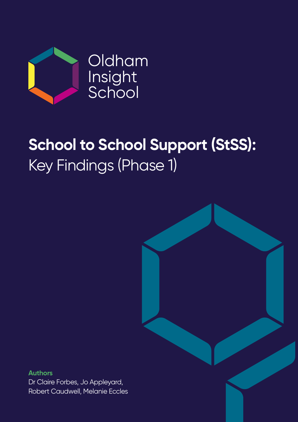

## **School to School Support (StSS):** Key Findings (Phase 1)

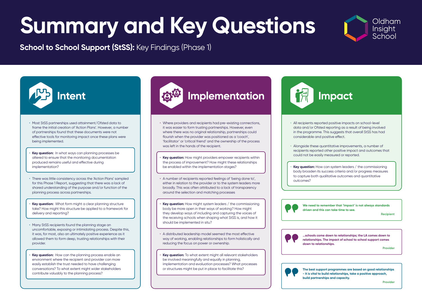

• All recipients reported positive impacts on school-level data and/or Ofsted reporting as a result of being involved in the programme. This suggests that overall StSS has had considerable and positive effect.

**Key question:** How can system leaders / the commissioning body broaden its success criteria and/or progress measures to capture both qualitative outcomes and quantitative

• Alongside these quantitative improvements, a number of recipients reported other positive impact and outcomes that could not be easily measured or reported.

outcomes?







- Most StSS partnerships used attainment/Ofsted data to frame the initial creation of 'Action Plans'. However, a number of partnerships found that these documents were not effective tools for monitoring impact once these plans were being implemented.
- **Key question:** In what ways can planning processes be altered to ensure that the monitoring documentation produced remains useful and effective during implementation?
- There was little consistency across the 'Action Plans' sampled for this Phase 1 Report, suggesting that there was a lack of shared understanding of the purpose and/or function of the planning process across partnerships.
- **Key question:** What form might a clear planning structure take? How might this structure be applied to a framework for delivery and reporting?
- Many StSS recipients found the planning stage an uncomfortable, exposing or intimidating process. Despite this, it was, for most, also an ultimately positive experience as it allowed them to form deep, trusting relationships with their provider.
- **Key question:** How can the planning process enable an environment where the recipient and provider can more easily establish the trust needed to have challenging conversations? To what extent might wider stakeholders contribute valuably to the planning process?

### **Intent Implementation Intent Impact**

- Where providers and recipients had pre-existing connections, it was easier to form trusting partnerships. However, even where there was no original relationship, partnerships could flourish when the provider was positioned as a 'coach', 'facilitator' or 'critical friend' and the ownership of the process was left in the hands of the recipient.
- **Key question:** How might providers empower recipients within the process of improvement? How might these relationships be enabled within the implementation stages?
- A number of recipients reported feelings of 'being done to', either in relation to the provider or to the system leaders more broadly. This was often attributed to a lack of transparency around the selection and matching processes
- **Key question:** How might system leaders / the commissioning body be more open in their ways of working? How might they develop ways of including and capturing the voices of the receiving schools when shaping what StSS is, and how it should be implemented in situ?
- A distributed leadership model seemed the most effective way of working, enabling relationships to form holistically and reducing the focus on power or ownership.
- **Key question:** To what extent might all relevant stakeholders be involved meaningfully and equally in planning, implementation and evaluation processes? What processes or structures might be put in place to facilitate this?



- 
- 

**We need to remember that 'impact' is not always standards driven and this can take time to see.** 

**Recipient**

**…schools come down to relationships; the LA comes down to relationships. The impact of school to school support comes down to relationships.**

**Provider**

**The best support programmes are based on good relationships - it is vital to build relationships, take a positive approach, build partnerships and capacity.** 

**Provider**

# **Summary and Key Questions**

**School to School Support (StSS):** Key Findings (Phase 1)

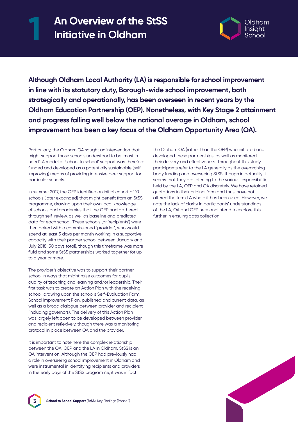## **An Overview of the StSS 1 Initiative in Oldham**



**Although Oldham Local Authority (LA) is responsible for school improvement in line with its statutory duty, Borough-wide school improvement, both strategically and operationally, has been overseen in recent years by the Oldham Education Partnership (OEP). Nonetheless, with Key Stage 2 attainment and progress falling well below the national average in Oldham, school improvement has been a key focus of the Oldham Opportunity Area (OA).**

Particularly, the Oldham OA sought an intervention that might support those schools understood to be 'most in need'. A model of 'school to school' support was therefore funded and developed as a potentially sustainable (selfimproving) means of providing intensive peer support for particular schools.

In summer 2017, the OEP identified an initial cohort of 10 schools (later expanded) that might benefit from an StSS programme, drawing upon their own local knowledge of schools and academies that the OEP had gathered through self-review, as well as baseline and predicted data for each school. These schools (or 'recipients') were then paired with a commissioned 'provider', who would spend at least 5 days per month working in a supportive capacity with their partner school between January and July 2018 (30 days total), though this timeframe was more fluid and some StSS partnerships worked together for up to a year or more.

The provider's objective was to support their partner school in ways that might raise outcomes for pupils, quality of teaching and learning and/or leadership. Their first task was to create an Action Plan with the receiving school, drawing upon the school's Self-Evaluation Form, School Improvement Plan, published and current data, as well as a broad dialogue between provider and recipient (including governors). The delivery of this Action Plan was largely left open to be developed between provider and recipient reflexively, though there was a monitoring protocol in place between OA and the provider.

It is important to note here the complex relationship between the OA, OEP and the LA in Oldham. StSS is an OA intervention. Although the OEP had previously had a role in overseeing school improvement in Oldham and were instrumental in identifying recipients and providers in the early days of the StSS programme, it was in fact

the Oldham OA (rather than the OEP) who initiated and developed these partnerships, as well as monitored their delivery and effectiveness. Throughout this study, participants refer to the LA generally as the overarching body funding and overseeing StSS, though in actuality it seems that they are referring to the various responsibilities held by the LA, OEP and OA discretely. We have retained quotations in their original form and thus, have not altered the term LA where it has been used. However, we note the lack of clarity in participants' understandings of the LA, OA and OEP here and intend to explore this further in ensuing data collection.



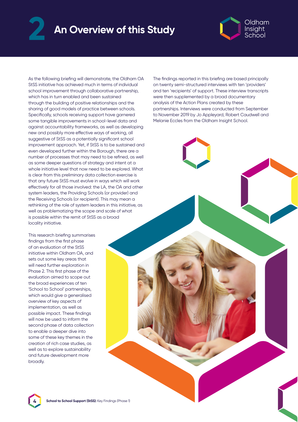### An Overview of this Study **An Overview of this Study 2**



As the following briefing will demonstrate, the Oldham OA StSS initiative has achieved much in terms of individual school improvement through collaborative partnership, which has in turn enabled and been sustained through the building of positive relationships and the sharing of good models of practice between schools. Specifically, schools receiving support have garnered some tangible improvements in school-level data and against accountability frameworks, as well as developing new and possibly more effective ways of working, all suggestive of StSS as a potentially significant school improvement approach. Yet, if StSS is to be sustained and even developed further within the Borough, there are a number of processes that may need to be refined, as well as some deeper questions of strategy and intent at a whole initiative level that now need to be explored. What is clear from this preliminary data collection exercise is that any future StSS must evolve in ways which will work effectively for all those involved: the LA, the OA and other system leaders, the Providing Schools (or provider) and the Receiving Schools (or recipient). This may mean a rethinking of the role of system leaders in this initiative, as well as problematizing the scope and scale of what is possible within the remit of StSS as a broad locality initiative.

This research briefing summarises findings from the first phase of an evaluation of the StSS initiative within Oldham OA, and sets out some key areas that will need further exploration in Phase 2. This first phase of the evaluation aimed to scope out the broad experiences of ten 'School to School' partnerships, which would give a generalised overview of key aspects of implementation, as well as possible impact. These findings will now be used to inform the second phase of data collection to enable a deeper dive into some of these key themes in the creation of rich case studies, as well as to explore sustainability and future development more broadly.

The findings reported in this briefing are based principally on twenty semi-structured interviews with ten 'providers' and ten 'recipients' of support. These interview transcripts were then supplemented by a broad documentary analysis of the Action Plans created by these partnerships. Interviews were conducted from September to November 2019 by Jo Appleyard, Robert Caudwell and Melanie Eccles from the Oldham Insight School.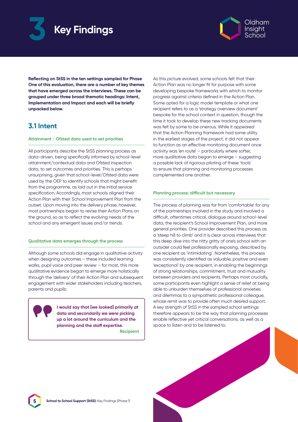



**Reflecting on StSS in the ten settings sampled for Phase One of this evaluation, there are a number of key themes that have emerged across the interviews. These can be grouped under three broad thematic headings: Intent, Implementation and Impact and each will be briefly unpacked below.**

#### **3.1 Intent**

#### **Attainment / Ofsted data used to set priorities**

All participants describe the StSS planning process as data-driven, being specifically informed by school-level attainment/contextual data and Ofsted inspection data, to set outcomes and priorities. This is perhaps unsurprising, given that school-level/Ofsted data were used by the OEP to identify schools that might benefit from the programme, as laid out in the initial service specification. Accordingly, most schools aligned their Action Plan with their School Improvement Plan from the outset. Upon moving into the delivery phase, however, most partnerships began to revise their Action Plans on the ground, so as to reflect the evolving needs of the school and any emergent issues and/or trends.

#### **Qualitative data emerges through the process**

Although some schools did engage in qualitative activity when designing outcomes – these included learning walks, pupil voice and peer review – for most, this more qualitative evidence began to emerge more holistically through the 'delivery' of their Action Plan and subsequent engagement with wider stakeholders including teachers, parents and pupils:



**I would say that [we looked] primarily at data and secondarily we were picking up a lot around the curriculum and the planning and the staff expertise.**

**Recipient**

As this picture evolved, some schools felt that their Action Plan was no longer fit for purpose with some developing bespoke frameworks with which to monitor progress against criteria defined in the Action Plan. Some opted for a logic model template or what one recipient refers to as a 'strategy overview document' bespoke for the school context in question, though the time it took to develop these new tracking documents was felt by some to be onerous. While it appeared that the Action Planning framework had some utility in the earliest stages of the project, it did not appear to function as an effective monitoring document once activity was 'en route' – particularly where softer, more qualitative data began to emerge – suggesting a possible lack of rigorous piloting of these 'tools' to ensure that planning and monitoring processes complemented one another.

#### **Planning process: difficult but necessary**

The process of planning was far from 'comfortable' for any of the partnerships involved in the study and involved a difficult, oftentimes critical, dialogue around school-level data, the recipient's School Improvement Plan, and more general priorities. One provider described this process as a 'steep hill to climb' and it is clear across interviews that this deep dive into the nitty gritty of one's school with an outsider could feel professionally exposing, described by one recipient as 'intimidating'. Nonetheless, this process was consistently identified as valuable, positive and even 'exceptional' by one recipient, in enabling the beginnings of strong relationships, commitment, trust and mutuality between providers and recipients. Perhaps most crucially, some participants even highlight a sense of relief at being able to unburden themselves of professional anxieties and dilemmas to a sympathetic professional colleague, whose remit was to provide often much desired support. A key strength of StSS in the sampled school settings therefore appears to be the way that planning processes enable reflective yet critical conversations, as well as a space to listen and to be listened to.

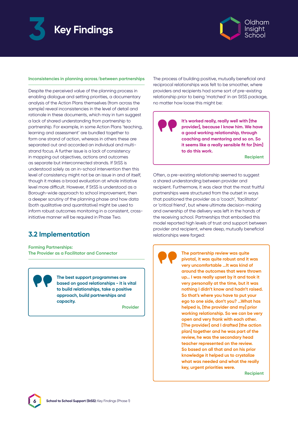



#### **Inconsistencies in planning across/between partnerships**

Despite the perceived value of the planning process in enabling dialogue and setting priorities, a documentary analysis of the Action Plans themselves (from across the sample) reveal inconsistencies in the level of detail and rationale in these documents, which may in turn suggest a lack of shared understanding from partnership to partnership. For example, in some Action Plans 'teaching, learning and assessment' are bundled together to form one strand of action, whereas in others these are separated out and accorded an individual and multistrand focus. A further issue is a lack of consistency in mapping out objectives, actions and outcomes as separate but interconnected strands. If StSS is understood solely as an in-school intervention then this level of consistency might not be an issue in and of itself, though it makes a broad evaluation at whole initiative level more difficult. However, if StSS is understood as a Borough-wide approach to school improvement, then a deeper scrutiny of the planning phase and how data (both qualitative and quantitative) might be used to inform robust outcomes monitoring in a consistent, crossinitiative manner will be required in Phase Two.

#### **3.2 Implementation**

**Forming Partnerships: The Provider as a Facilitator and Connector**

> **The best support programmes are based on good relationships - it is vital to build relationships, take a positive approach, build partnerships and capacity.**

> > **Provider**

The process of building positive, mutually beneficial and reciprocal relationships was felt to be smoother, where providers and recipients had some sort of pre-existing relationship prior to being 'matched' in an StSS package, no matter how loose this might be:

**It's worked really, really well with [the provider], because I know him. We have a good working relationship, through coaching and mentoring and so on. So it seems like a really sensible fit for [him] to do this work.**

**Recipient**

Often, a pre-existing relationship seemed to suggest a shared understanding between provider and recipient. Furthermore, it was clear that the most fruitful partnerships were structured from the outset in ways that positioned the provider as a 'coach', 'facilitator' or 'critical friend', but where ultimate decision-making and ownership of the delivery was left in the hands of the receiving school. Partnerships that embodied this model reported high levels of trust and support between provider and recipient, where deep, mutually beneficial relationships were forged:



**The partnership review was quite pivotal, it was quite robust and it was very uncomfortable …It was kind of around the outcomes that were thrown up… I was really upset by it and took it very personally at the time, but it was nothing I didn't know and hadn't raised. So that's where you have to put your ego to one side, don't you? …What has helped is, [the provider and my] prior working relationship. So we can be very open and very frank with each other. [The provider] and I drafted [the action plan] together and he was part of the review, he was the secondary head teacher represented on the review. So based on all that and on his prior knowledge it helped us to crystalize what was needed and what the really key, urgent priorities were.**

**Recipient**

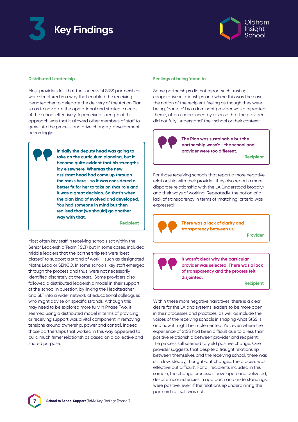



#### **Distributed Leadership**

Most providers felt that the successful StSS partnerships were structured in a way that enabled the receiving Headteacher to delegate the delivery of the Action Plan, so as to navigate the operational and strategic needs of the school effectively. A perceived strength of this approach was that it allowed other members of staff to grow into the process and drive change / development accordingly:

**Initially the deputy head was going to take on the curriculum planning, but it became quite evident that his strengths lay elsewhere. Whereas the new assistant head had come up through the ranks here - so it was considered a better fit for her to take on that role and it was a great decision. So that's when the plan kind of evolved and developed. You had someone in mind but then realised that [we should] go another way with that.**

**Recipient**

Most often key staff in receiving schools sat within the Senior Leadership Team ( SLT) but in some cases, included middle leaders that the partnership felt were 'best placed' to support a strand of work – such as designated Maths Lead or SENCO. In some schools, key staff emerged through the process and thus, were not necessarily identified discretely at the start. Some providers also followed a distributed leadership model in their support of the school in question, by linking the Headteacher and SLT into a wider network of educational colleagues who might advise on specific strands. Although this may need to be explored more fully in Phase Two, it seemed using a distributed model in terms of providing or receiving support was a vital component in removing tensions around ownership, power and control. Indeed, those partnerships that worked in this way appeared to build much firmer relationships based on a collective and shared purpose.

#### **Feelings of being 'done to'**

Some partnerships did not report such trusting, cooperative relationships and where this was the case, the notion of the recipient feeling as though they were being, 'done to' by a dominant provider was a repeated theme, often underpinned by a sense that the provider did not fully 'understand' their school or their context:



**The Plan was sustainable but the partnership wasn't - the school and provider were too different.** 

**Recipient**

For those receiving schools that report a more negative relationship with their provider, they also report a more disparate relationship with the LA (understood broadly) and their ways of working. Repeatedly, the notion of a lack of transparency in terms of 'matching' criteria was expressed:



**There was a lack of clarity and transparency between us.**

**Provider**

**It wasn't clear why the particular provider was selected. There was a lack of transparency and the process felt disjointed.**

**Recipient**

Within these more negative narratives, there is a clear desire for the LA and systems leaders to be more open in their processes and practices, as well as include the voices of the receiving schools in shaping what StSS is and how it might be implemented. Yet, even where the experience of StSS had been difficult due to a less than positive relationship between provider and recipient, the process still seemed to yield positive change. One provider suggests that despite a fraught relationship between themselves and the receiving school, there was still 'slow, steady, thought-out change… the process was effective but difficult'. For all recipients included in this sample, the change processes developed and delivered, despite inconsistencies in approach and understandings, were positive, even if the relationship underpinning the partnership itself was not.

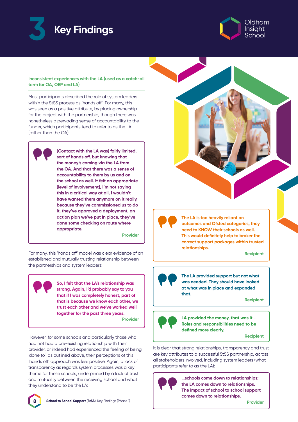



#### **Inconsistent experiences with the LA (used as a catch-all term for OA, OEP and LA)**

Most participants described the role of system leaders within the StSS process as 'hands off'. For many, this was seen as a positive attribute, by placing ownership for the project with the partnership, though there was nonetheless a pervading sense of accountability to the funder, which participants tend to refer to as the LA (rather than the OA):

**[Contact with the LA was] fairly limited, sort of hands off, but knowing that the money's coming via the LA from the OA. And that there was a sense of accountability to them by us and on the school as well. It felt an appropriate [level of involvement], I'm not saying this in a critical way at all, I wouldn't have wanted them anymore on it really, because they've commissioned us to do it, they've approved a deployment, an action plan we've put in place, they've done some checking on route where appropriate.** 

**Provider**

For many, this 'hands off' model was clear evidence of an established and mutually trusting relationship between the partnerships and system leaders:

> **So, I felt that the LA's relationship was strong. Again, I'd probably say to you that if I was completely honest, part of that is because we know each other, we trust each other and we've worked well together for the past three years.**

**Provider**

However, for some schools and particularly those who had not had a pre-existing relationship with their provider, or indeed had experienced the feeling of being 'done to', as outlined above, their perceptions of this 'hands off' approach was less positive. Again, a lack of transparency as regards system processes was a key theme for these schools, underpinned by a lack of trust and mutuality between the receiving school and what they understand to be the LA:





**The LA is too heavily reliant on outcomes and Ofsted categories, they need to KNOW their schools as well. This would definitely help to broker the correct support packages within trusted relationships.** 

**Recipient**

**The LA provided support but not what was needed. They should have looked at what was in place and expanded that.**

**Recipient**



**LA provided the money, that was it… Roles and responsibilities need to be defined more clearly.**

**Recipient**

It is clear that strong relationships, transparency and trust are key attributes to a successful StSS partnership, across all stakeholders involved, including system leaders (what participants refer to as the LA):



**…schools come down to relationships; the LA comes down to relationships. The impact of school to school support comes down to relationships.**

**Provider**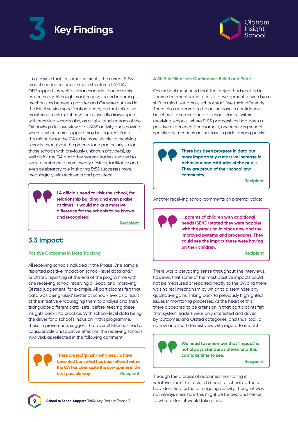



It is possible that for some recipients, the current StSS model needed to include more structured LA/OA/ OEP support, as well as clear channels to access this as necessary. Although monitoring visits and reporting mechanisms between provider and OA were outlined in the initial service specification, it may be that reflective monitoring tools might have been usefully drawn upon with receiving schools also, as a light-touch means of the OA having a full overview of all StSS activity and knowing where / when more support may be required. Part of this might be for the OA to be more 'visible' to receiving schools throughout the process (and particularly so for those schools with previously unknown providers), as well as for the OA and other system leaders involved to seek to embrace a more overtly positive, facilitative and even celebratory role in sharing StSS successes more meaningfully with recipients and providers:

> **LA officials need to visit the school, for relationship building and even praise at times. It would make a massive difference for the schools to be known and recognised.**

> > **Recipient**

#### **3.3 Impact:**

#### **Positive Outcomes in Data Tracking**

All receiving schools included in the Phase One sample reported positive impact on school-level data and/ or Ofsted reporting at the end of the programme with one receiving school receiving a 'Good and Improving' Ofsted judgement, for example. All participants felt that data was being 'used' better at school-level as a result of the initiative encouraging them to analyse and then triangulate different data-sets, before feeding these insights back into practice. With school-level data being the driver for a school's inclusion in this programme, these improvements suggest that overall StSS has had a considerable and positive effect on the receiving schools involved, as reflected in the following comment:



**9**

**These are real 'pinch-me' times…To have benefited from what has been offered within the OA has been quite the eye-opener in the best possible way.** Recipient

#### **A Shift in Mind-set: Confidence, Belief and Pride**

One school mentioned that the project had resulted in 'forward momentum' in terms of development, driven by a shift in mind-set across school staff: 'we think differently'. There also appeared to be an increase in confidence, belief and assurance across school leaders within receiving schools, where StSS partnerships had been a positive experience. For example, one receiving school specifically mentions an increase in pride among pupils:



**There has been progress in data but more importantly a massive increase in behaviour and attitudes of the pupils. They are proud of their school and community.** 

**Recipient** 

Another receiving school comments on parental voice:

**…parents of children with additional needs (SEND) stated they were happier with the provision in place now and the improved systems and procedures. They could see the impact these were having on their children.**

**Recipient** 

There was a pervading sense throughout the interviews, however, that some of the most positive impacts could not be measured or reported neatly to the OA and there was no real mechanism by which to disseminate any qualitative gains, linking back to previously highlighted issues in monitoring processes. At the heart of this there appeared to be a tension in that participants felt that system leaders were only interested and driven by 'outcomes and Ofsted categories' and thus, took a narrow and short-termist view with regard to impact:



**We need to remember that 'impact' is not always standards driven and this can take time to see.** 

**Recipient**

Through the process of outcomes monitoring in whatever form this took, all school to school partners had identified further or ongoing activity, though it was not always clear how this might be funded and hence, to what extent it would take place.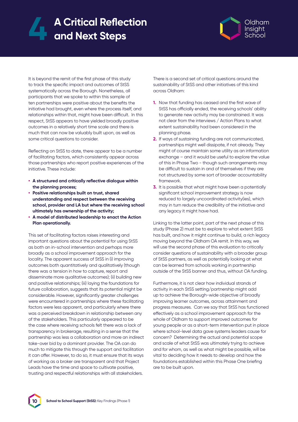## **A Critical Reflection 4 and Next Steps**



It is beyond the remit of the first phase of this study to track the specific impact and outcomes of StSS systematically across the Borough. Nonetheless, all participants that we spoke to within this sample of ten partnerships were positive about the benefits the initiative had brought, even where the process itself, and relationships within that, might have been difficult. In this respect, StSS appears to have yielded broadly positive outcomes in a relatively short time scale and there is much that can now be valuably built upon, as well as some critical questions to consider.

Reflecting on StSS to date, there appear to be a number of facilitating factors, which consistently appear across those partnerships who report positive experiences of the initiative. These include:

- **• A structured and critically reflective dialogue within the planning process;**
- **• Positive relationships built on trust, shared understanding and respect between the receiving school, provider and LA but where the receiving school ultimately has ownership of the activity;**
- **• A model of distributed leadership to enact the Action Plan operationally.**

This set of facilitating factors raises interesting and important questions about the potential for using StSS as both an in-school intervention and perhaps more broadly as a school improvement approach for the locality. The apparent success of StSS in (i) improving outcomes both quantitatively and qualitatively (though there was a tension in how to capture, report and disseminate more qualitative outcomes); (ii) building new and positive relationships; (iii) laying the foundations for future collaboration, suggests that its potential might be considerable. However, significantly greater challenges were encountered in partnerships where these facilitating factors were less apparent, and particularly where there was a perceived breakdown in relationship between any of the stakeholders. This particularly appeared to be the case where receiving schools felt there was a lack of transparency in brokerage, resulting in a sense that the partnership was less a collaboration and more an indirect take-over bid by a dominant provider. The OA can do much to mitigate this through the support and facilitation it can offer. However, to do so, it must ensure that its ways of working as a broker are transparent and that Project Leads have the time and space to cultivate positive, trusting and respectful relationships with all stakeholders.

There is a second set of critical questions around the sustainability of StSS and other initiatives of this kind across Oldham:

- **1.** Now that funding has ceased and the first wave of StSS has officially ended, the receiving schools' ability to generate new activity may be constrained. It was not clear from the interviews / Action Plans to what extent sustainability had been considered in the planning phase.
- **2.** If ways of sustaining funding are not communicated, partnerships might well dissipate, if not already. They might of course maintain some utility as an information exchange – and it would be useful to explore the value of this in Phase Two - though such arrangements may be difficult to sustain in and of themselves if they are not structured by some sort of broader accountability framework.
- **3.** It is possible that what might have been a potentially significant school improvement strategy is now reduced to largely uncoordinated activity(ies), which may in turn reduce the credibility of the initiative and any legacy it might have had.

Linking to the latter point, part of the next phase of this study (Phase 2) must be to explore to what extent StSS has built, and how it might continue to build, a rich legacy moving beyond the Oldham OA remit. In this way, we will use the second phase of this evaluation to critically consider questions of sustainability with a broader group of StSS partners, as well as potentially looking at what can be learned from schools working in partnership outside of the StSS banner and thus, without OA funding.

Furthermore, it is not clear how individual strands of activity in each StSS setting/partnership might add up to achieve the Borough-wide objective of broadly improving learner outcomes, across attainment and progress measures. Can we say that StSS has functioned effectively as a school improvement approach for the whole of Oldham to support improved outcomes for young people or as a short-term intervention put in place where school-level data gave systems leaders cause for concern? Determining the actual and potential scope and scale of what StSS was ultimately trying to achieve and for whom, as well as what might be possible, will be vital to deciding how it needs to develop and how the foundations established within this Phase One briefing are to be built upon.

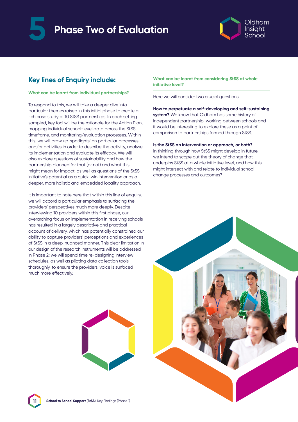



#### **Key lines of Enquiry include:**

#### **What can be learnt from individual partnerships?**

To respond to this, we will take a deeper dive into particular themes raised in this initial phase to create a rich case study of 10 StSS partnerships. In each setting sampled, key foci will be the rationale for the Action Plan, mapping individual school-level data across the StSS timeframe, and monitoring/evaluation processes. Within this, we will draw up 'spotlights' on particular processes and/or activities in order to describe the activity, analyse its implementation and evaluate its efficacy. We will also explore questions of sustainability and how the partnership planned for that (or not) and what this might mean for impact, as well as questions of the StSS initiative's potential as a quick-win intervention or as a deeper, more holistic and embedded locality approach.

It is important to note here that within this line of enquiry, we will accord a particular emphasis to surfacing the providers' perspectives much more deeply. Despite interviewing 10 providers within this first phase, our overarching focus on implementation in receiving schools has resulted in a largely descriptive and practical account of delivery, which has potentially constrained our ability to capture providers' perceptions and experiences of StSS in a deep, nuanced manner. This clear limitation in our design of the research instruments will be addressed in Phase 2; we will spend time re-designing interview schedules, as well as piloting data collection tools thoroughly, to ensure the providers' voice is surfaced much more effectively.

**What can be learnt from considering StSS at whole initiative level?**

Here we will consider two crucial questions:

**How to perpetuate a self-developing and self-sustaining system?** We know that Oldham has some history of independent partnership-working between schools and it would be interesting to explore these as a point of comparison to partnerships formed through StSS.

**Is the StSS an intervention or approach, or both?**

In thinking through how StSS might develop in future, we intend to scope out the theory of change that underpins StSS at a whole initiative level, and how this might intersect with and relate to individual school change processes and outcomes?





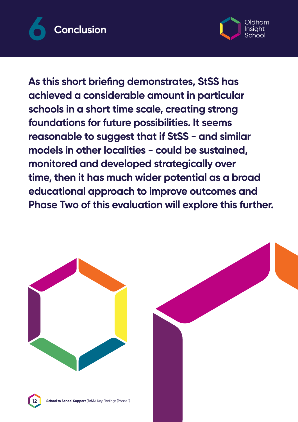



**As this short briefing demonstrates, StSS has achieved a considerable amount in particular schools in a short time scale, creating strong foundations for future possibilities. It seems reasonable to suggest that if StSS - and similar models in other localities - could be sustained, monitored and developed strategically over time, then it has much wider potential as a broad educational approach to improve outcomes and Phase Two of this evaluation will explore this further.**